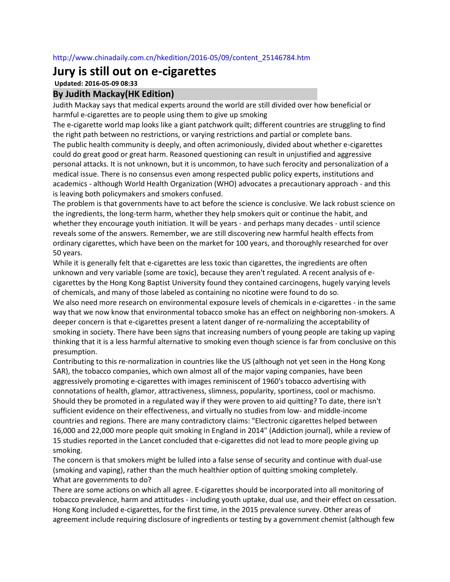## **Jury is still out on e-cigarettes**

**Updated: 2016-05-09 08:33**

## **By Judith Mackay(HK Edition)**

Judith Mackay says that medical experts around the world are still divided over how beneficial or harmful e-cigarettes are to people using them to give up smoking

The e-cigarette world map looks like a giant patchwork quilt; different countries are struggling to find the right path between no restrictions, or varying restrictions and partial or complete bans. The public health community is deeply, and often acrimoniously, divided about whether e-cigarettes could do great good or great harm. Reasoned questioning can result in unjustified and aggressive personal attacks. It is not unknown, but it is uncommon, to have such ferocity and personalization of a medical issue. There is no consensus even among respected public policy experts, institutions and academics - although World Health Organization (WHO) advocates a precautionary approach - and this is leaving both policymakers and smokers confused.

The problem is that governments have to act before the science is conclusive. We lack robust science on the ingredients, the long-term harm, whether they help smokers quit or continue the habit, and whether they encourage youth initiation. It will be years - and perhaps many decades - until science reveals some of the answers. Remember, we are still discovering new harmful health effects from ordinary cigarettes, which have been on the market for 100 years, and thoroughly researched for over 50 years.

While it is generally felt that e-cigarettes are less toxic than cigarettes, the ingredients are often unknown and very variable (some are toxic), because they aren't regulated. A recent analysis of ecigarettes by the Hong Kong Baptist University found they contained carcinogens, hugely varying levels of chemicals, and many of those labeled as containing no nicotine were found to do so.

We also need more research on environmental exposure levels of chemicals in e-cigarettes - in the same way that we now know that environmental tobacco smoke has an effect on neighboring non-smokers. A deeper concern is that e-cigarettes present a latent danger of re-normalizing the acceptability of smoking in society. There have been signs that increasing numbers of young people are taking up vaping thinking that it is a less harmful alternative to smoking even though science is far from conclusive on this presumption.

Contributing to this re-normalization in countries like the US (although not yet seen in the Hong Kong SAR), the tobacco companies, which own almost all of the major vaping companies, have been aggressively promoting e-cigarettes with images reminiscent of 1960's tobacco advertising with connotations of health, glamor, attractiveness, slimness, popularity, sportiness, cool or machismo. Should they be promoted in a regulated way if they were proven to aid quitting? To date, there isn't sufficient evidence on their effectiveness, and virtually no studies from low- and middle-income countries and regions. There are many contradictory claims: "Electronic cigarettes helped between 16,000 and 22,000 more people quit smoking in England in 2014" (Addiction journal), while a review of 15 studies reported in the Lancet concluded that e-cigarettes did not lead to more people giving up smoking.

The concern is that smokers might be lulled into a false sense of security and continue with dual-use (smoking and vaping), rather than the much healthier option of quitting smoking completely. What are governments to do?

There are some actions on which all agree. E-cigarettes should be incorporated into all monitoring of tobacco prevalence, harm and attitudes - including youth uptake, dual use, and their effect on cessation. Hong Kong included e-cigarettes, for the first time, in the 2015 prevalence survey. Other areas of agreement include requiring disclosure of ingredients or testing by a government chemist (although few